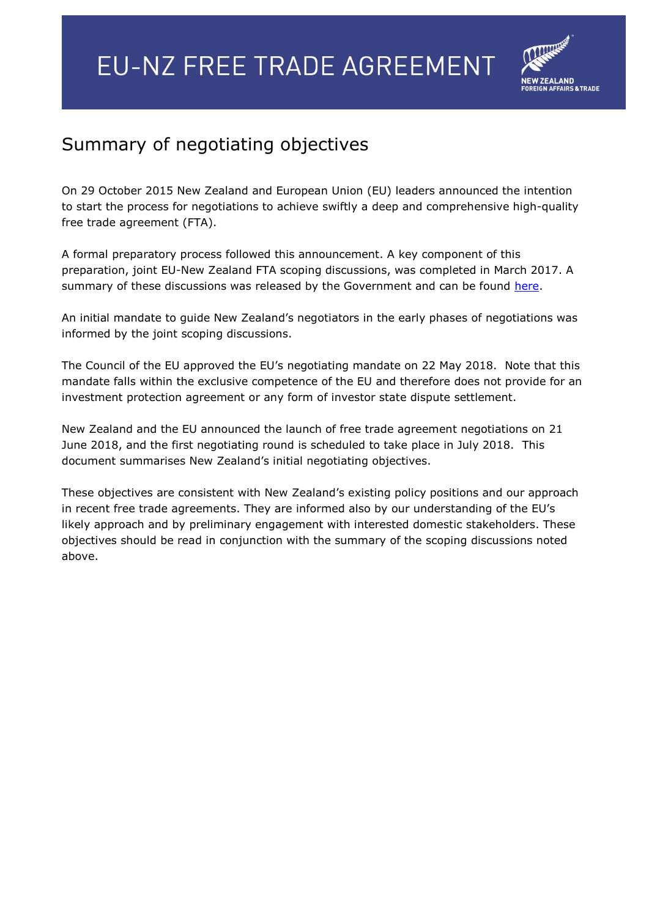

# Summary of negotiating objectives

On 29 October 2015 New Zealand and European Union (EU) leaders announced the intention to start the process for negotiations to achieve swiftly a deep and comprehensive high-quality free trade agreement (FTA).

A formal preparatory process followed this announcement. A key component of this preparation, joint EU-New Zealand FTA scoping discussions, was completed in March 2017. A summary of these discussions was released by the Government and can be found [here.](https://www.mfat.govt.nz/assets/FTA-Publications/EU-FTA/EU-NZ-FTA-Scoping-Summary-and-Q-A-May-2017.pdf)

An initial mandate to guide New Zealand's negotiators in the early phases of negotiations was informed by the joint scoping discussions.

The Council of the EU approved the EU's negotiating mandate on 22 May 2018. Note that this mandate falls within the exclusive competence of the EU and therefore does not provide for an investment protection agreement or any form of investor state dispute settlement.

New Zealand and the EU announced the launch of free trade agreement negotiations on 21 June 2018, and the first negotiating round is scheduled to take place in July 2018. This document summarises New Zealand's initial negotiating objectives.

These objectives are consistent with New Zealand's existing policy positions and our approach in recent free trade agreements. They are informed also by our understanding of the EU's likely approach and by preliminary engagement with interested domestic stakeholders. These objectives should be read in conjunction with the summary of the scoping discussions noted above.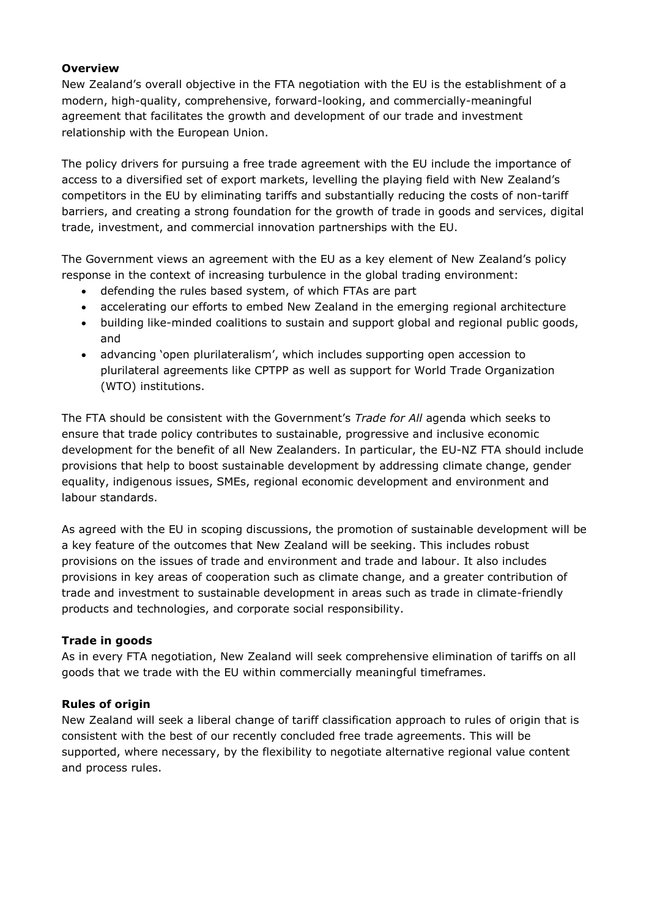#### **Overview**

New Zealand's overall objective in the FTA negotiation with the EU is the establishment of a modern, high-quality, comprehensive, forward-looking, and commercially-meaningful agreement that facilitates the growth and development of our trade and investment relationship with the European Union.

The policy drivers for pursuing a free trade agreement with the EU include the importance of access to a diversified set of export markets, levelling the playing field with New Zealand's competitors in the EU by eliminating tariffs and substantially reducing the costs of non-tariff barriers, and creating a strong foundation for the growth of trade in goods and services, digital trade, investment, and commercial innovation partnerships with the EU.

The Government views an agreement with the EU as a key element of New Zealand's policy response in the context of increasing turbulence in the global trading environment:

- defending the rules based system, of which FTAs are part
- accelerating our efforts to embed New Zealand in the emerging regional architecture
- building like-minded coalitions to sustain and support global and regional public goods, and
- advancing 'open plurilateralism', which includes supporting open accession to plurilateral agreements like CPTPP as well as support for World Trade Organization (WTO) institutions.

The FTA should be consistent with the Government's *Trade for All* agenda which seeks to ensure that trade policy contributes to sustainable, progressive and inclusive economic development for the benefit of all New Zealanders. In particular, the EU-NZ FTA should include provisions that help to boost sustainable development by addressing climate change, gender equality, indigenous issues, SMEs, regional economic development and environment and labour standards.

As agreed with the EU in scoping discussions, the promotion of sustainable development will be a key feature of the outcomes that New Zealand will be seeking. This includes robust provisions on the issues of trade and environment and trade and labour. It also includes provisions in key areas of cooperation such as climate change, and a greater contribution of trade and investment to sustainable development in areas such as trade in climate-friendly products and technologies, and corporate social responsibility.

#### **Trade in goods**

As in every FTA negotiation, New Zealand will seek comprehensive elimination of tariffs on all goods that we trade with the EU within commercially meaningful timeframes.

#### **Rules of origin**

New Zealand will seek a liberal change of tariff classification approach to rules of origin that is consistent with the best of our recently concluded free trade agreements. This will be supported, where necessary, by the flexibility to negotiate alternative regional value content and process rules.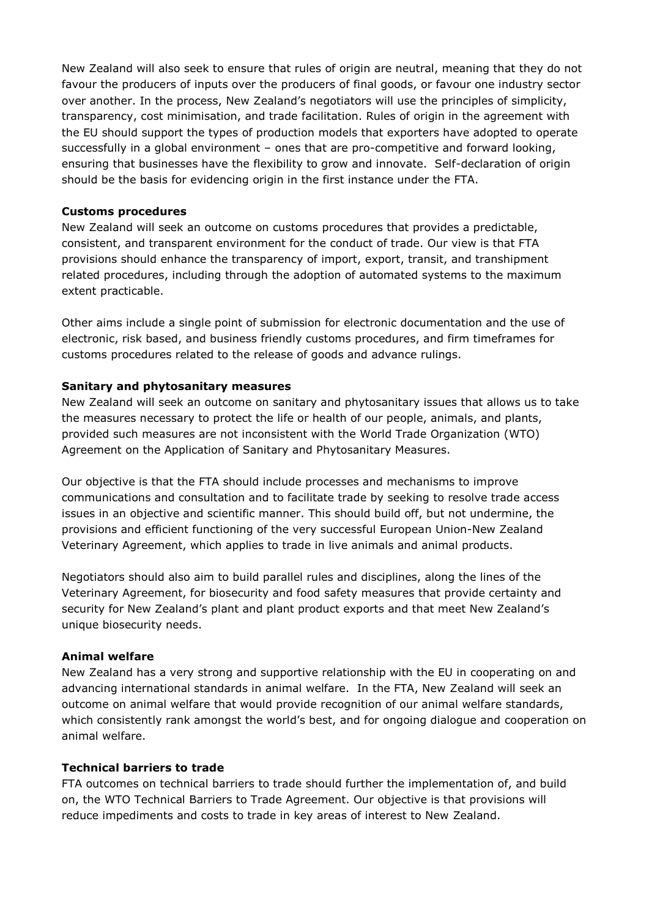New Zealand will also seek to ensure that rules of origin are neutral, meaning that they do not favour the producers of inputs over the producers of final goods, or favour one industry sector over another. In the process, New Zealand's negotiators will use the principles of simplicity, transparency, cost minimisation, and trade facilitation. Rules of origin in the agreement with the EU should support the types of production models that exporters have adopted to operate successfully in a global environment – ones that are pro-competitive and forward looking, ensuring that businesses have the flexibility to grow and innovate. Self-declaration of origin should be the basis for evidencing origin in the first instance under the FTA.

#### **Customs procedures**

New Zealand will seek an outcome on customs procedures that provides a predictable, consistent, and transparent environment for the conduct of trade. Our view is that FTA provisions should enhance the transparency of import, export, transit, and transhipment related procedures, including through the adoption of automated systems to the maximum extent practicable.

Other aims include a single point of submission for electronic documentation and the use of electronic, risk based, and business friendly customs procedures, and firm timeframes for customs procedures related to the release of goods and advance rulings.

#### **Sanitary and phytosanitary measures**

New Zealand will seek an outcome on sanitary and phytosanitary issues that allows us to take the measures necessary to protect the life or health of our people, animals, and plants, provided such measures are not inconsistent with the World Trade Organization (WTO) Agreement on the Application of Sanitary and Phytosanitary Measures.

Our objective is that the FTA should include processes and mechanisms to improve communications and consultation and to facilitate trade by seeking to resolve trade access issues in an objective and scientific manner. This should build off, but not undermine, the provisions and efficient functioning of the very successful European Union-New Zealand Veterinary Agreement, which applies to trade in live animals and animal products.

Negotiators should also aim to build parallel rules and disciplines, along the lines of the Veterinary Agreement, for biosecurity and food safety measures that provide certainty and security for New Zealand's plant and plant product exports and that meet New Zealand's unique biosecurity needs.

#### **Animal welfare**

New Zealand has a very strong and supportive relationship with the EU in cooperating on and advancing international standards in animal welfare. In the FTA, New Zealand will seek an outcome on animal welfare that would provide recognition of our animal welfare standards, which consistently rank amongst the world's best, and for ongoing dialogue and cooperation on animal welfare.

#### **Technical barriers to trade**

FTA outcomes on technical barriers to trade should further the implementation of, and build on, the WTO Technical Barriers to Trade Agreement. Our objective is that provisions will reduce impediments and costs to trade in key areas of interest to New Zealand.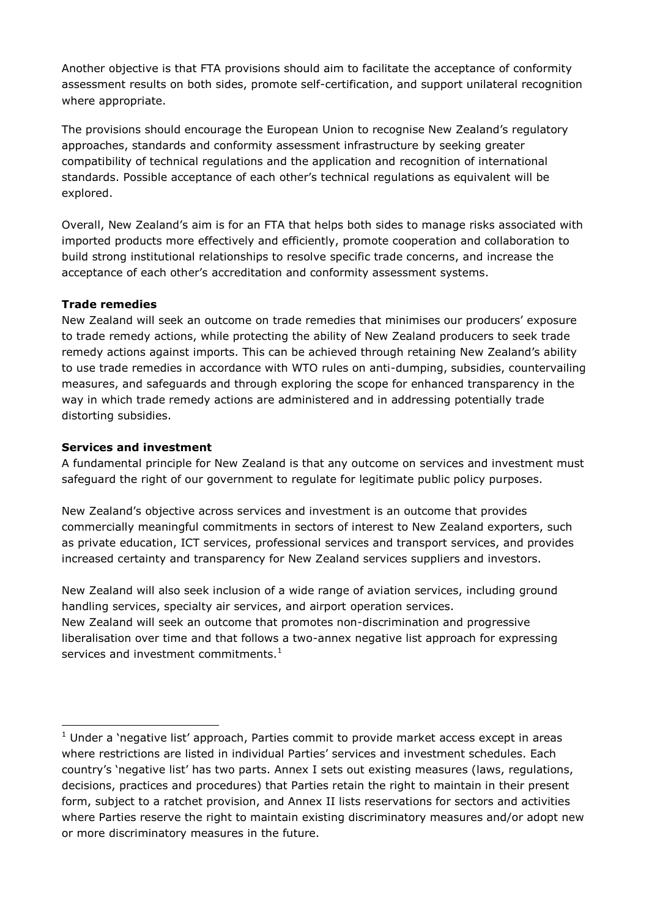Another objective is that FTA provisions should aim to facilitate the acceptance of conformity assessment results on both sides, promote self-certification, and support unilateral recognition where appropriate.

The provisions should encourage the European Union to recognise New Zealand's regulatory approaches, standards and conformity assessment infrastructure by seeking greater compatibility of technical regulations and the application and recognition of international standards. Possible acceptance of each other's technical regulations as equivalent will be explored.

Overall, New Zealand's aim is for an FTA that helps both sides to manage risks associated with imported products more effectively and efficiently, promote cooperation and collaboration to build strong institutional relationships to resolve specific trade concerns, and increase the acceptance of each other's accreditation and conformity assessment systems.

## **Trade remedies**

New Zealand will seek an outcome on trade remedies that minimises our producers' exposure to trade remedy actions, while protecting the ability of New Zealand producers to seek trade remedy actions against imports. This can be achieved through retaining New Zealand's ability to use trade remedies in accordance with WTO rules on anti-dumping, subsidies, countervailing measures, and safeguards and through exploring the scope for enhanced transparency in the way in which trade remedy actions are administered and in addressing potentially trade distorting subsidies.

## **Services and investment**

-

A fundamental principle for New Zealand is that any outcome on services and investment must safeguard the right of our government to regulate for legitimate public policy purposes.

New Zealand's objective across services and investment is an outcome that provides commercially meaningful commitments in sectors of interest to New Zealand exporters, such as private education, ICT services, professional services and transport services, and provides increased certainty and transparency for New Zealand services suppliers and investors.

New Zealand will also seek inclusion of a wide range of aviation services, including ground handling services, specialty air services, and airport operation services.

New Zealand will seek an outcome that promotes non-discrimination and progressive liberalisation over time and that follows a two-annex negative list approach for expressing services and investment commitments. $<sup>1</sup>$ </sup>

 $1$  Under a 'negative list' approach, Parties commit to provide market access except in areas where restrictions are listed in individual Parties' services and investment schedules. Each country's 'negative list' has two parts. Annex I sets out existing measures (laws, regulations, decisions, practices and procedures) that Parties retain the right to maintain in their present form, subject to a ratchet provision, and Annex II lists reservations for sectors and activities where Parties reserve the right to maintain existing discriminatory measures and/or adopt new or more discriminatory measures in the future.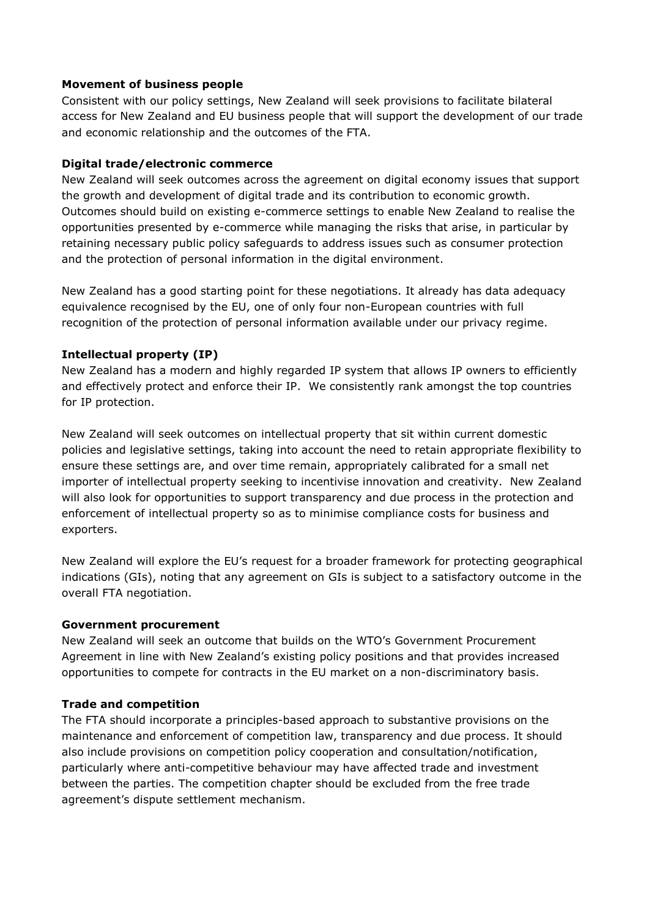#### **Movement of business people**

Consistent with our policy settings, New Zealand will seek provisions to facilitate bilateral access for New Zealand and EU business people that will support the development of our trade and economic relationship and the outcomes of the FTA.

#### **Digital trade/electronic commerce**

New Zealand will seek outcomes across the agreement on digital economy issues that support the growth and development of digital trade and its contribution to economic growth. Outcomes should build on existing e-commerce settings to enable New Zealand to realise the opportunities presented by e-commerce while managing the risks that arise, in particular by retaining necessary public policy safeguards to address issues such as consumer protection and the protection of personal information in the digital environment.

New Zealand has a good starting point for these negotiations. It already has data adequacy equivalence recognised by the EU, one of only four non-European countries with full recognition of the protection of personal information available under our privacy regime.

#### **Intellectual property (IP)**

New Zealand has a modern and highly regarded IP system that allows IP owners to efficiently and effectively protect and enforce their IP. We consistently rank amongst the top countries for IP protection.

New Zealand will seek outcomes on intellectual property that sit within current domestic policies and legislative settings, taking into account the need to retain appropriate flexibility to ensure these settings are, and over time remain, appropriately calibrated for a small net importer of intellectual property seeking to incentivise innovation and creativity. New Zealand will also look for opportunities to support transparency and due process in the protection and enforcement of intellectual property so as to minimise compliance costs for business and exporters.

New Zealand will explore the EU's request for a broader framework for protecting geographical indications (GIs), noting that any agreement on GIs is subject to a satisfactory outcome in the overall FTA negotiation.

#### **Government procurement**

New Zealand will seek an outcome that builds on the WTO's Government Procurement Agreement in line with New Zealand's existing policy positions and that provides increased opportunities to compete for contracts in the EU market on a non-discriminatory basis.

#### **Trade and competition**

The FTA should incorporate a principles-based approach to substantive provisions on the maintenance and enforcement of competition law, transparency and due process. It should also include provisions on competition policy cooperation and consultation/notification, particularly where anti-competitive behaviour may have affected trade and investment between the parties. The competition chapter should be excluded from the free trade agreement's dispute settlement mechanism.